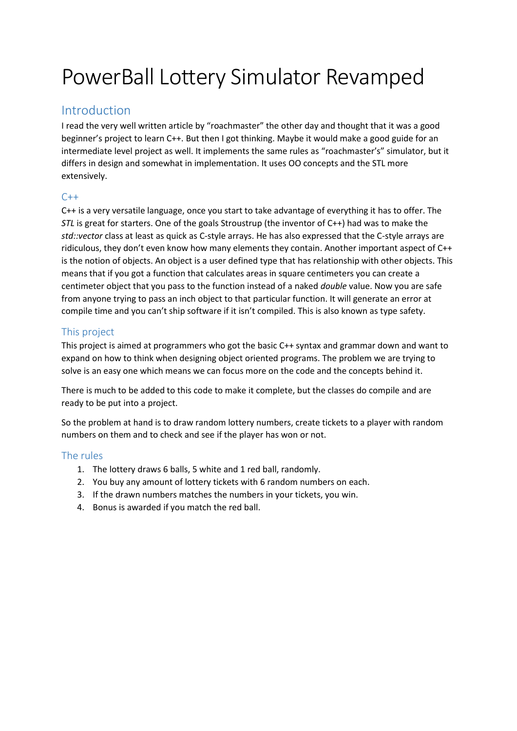# PowerBall Lottery Simulator Revamped

#### Introduction

I read the very well written article by "roachmaster" the other day and thought that it was a good beginner's project to learn C++. But then I got thinking. Maybe it would make a good guide for an intermediate level project as well. It implements the same rules as "roachmaster's" simulator, but it differs in design and somewhat in implementation. It uses OO concepts and the STL more extensively.

#### $C++$

C++ is a very versatile language, once you start to take advantage of everything it has to offer. The *STL* is great for starters. One of the goals Stroustrup (the inventor of C++) had was to make the *std::vector* class at least as quick as C-style arrays. He has also expressed that the C-style arrays are ridiculous, they don't even know how many elements they contain. Another important aspect of C++ is the notion of objects. An object is a user defined type that has relationship with other objects. This means that if you got a function that calculates areas in square centimeters you can create a centimeter object that you pass to the function instead of a naked *double* value. Now you are safe from anyone trying to pass an inch object to that particular function. It will generate an error at compile time and you can't ship software if it isn't compiled. This is also known as type safety.

#### This project

This project is aimed at programmers who got the basic C++ syntax and grammar down and want to expand on how to think when designing object oriented programs. The problem we are trying to solve is an easy one which means we can focus more on the code and the concepts behind it.

There is much to be added to this code to make it complete, but the classes do compile and are ready to be put into a project.

So the problem at hand is to draw random lottery numbers, create tickets to a player with random numbers on them and to check and see if the player has won or not.

#### The rules

- 1. The lottery draws 6 balls, 5 white and 1 red ball, randomly.
- 2. You buy any amount of lottery tickets with 6 random numbers on each.
- 3. If the drawn numbers matches the numbers in your tickets, you win.
- 4. Bonus is awarded if you match the red ball.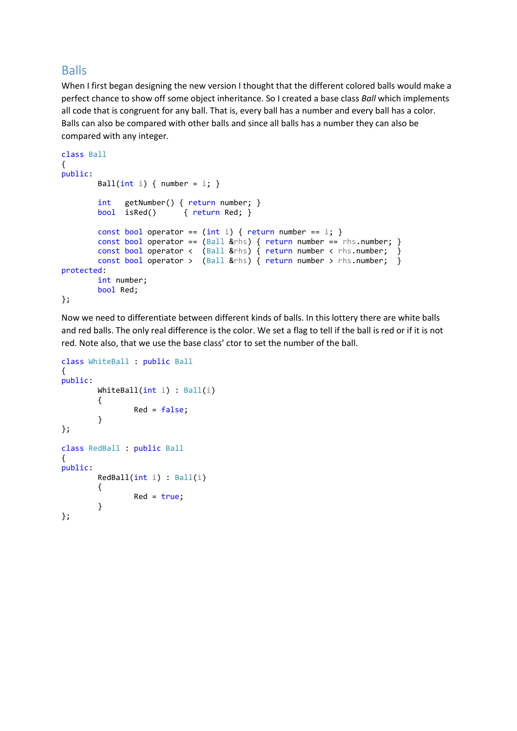#### Balls

When I first began designing the new version I thought that the different colored balls would make a perfect chance to show off some object inheritance. So I created a base class *Ball* which implements all code that is congruent for any ball. That is, every ball has a number and every ball has a color. Balls can also be compared with other balls and since all balls has a number they can also be compared with any integer.

```
class Ball
{
public:
       Ball(int i) { number = i; }
         int getNumber() { return number; }
         bool isRed() { return Red; }
        const bool operator == (int i) { return number == i; }const bool operator == (Ball &rhs) { return number == rhs.number; }
        const bool operator < (Ball &rhs) { return number < rhs.number; }
        const bool operator > (Ball &rhs) { return number > rhs.number; }
protected:
         int number;
         bool Red;
};
```
Now we need to differentiate between different kinds of balls. In this lottery there are white balls and red balls. The only real difference is the color. We set a flag to tell if the ball is red or if it is not red. Note also, that we use the base class' ctor to set the number of the ball.

```
class WhiteBall : public Ball
{
public:
         WhiteBall(int i) : Ball(i)
         {
                 Red = false; }
};
class RedBall : public Ball
{
public:
         RedBall(int i) : Ball(i)
         {
                 Red = true; }
};
```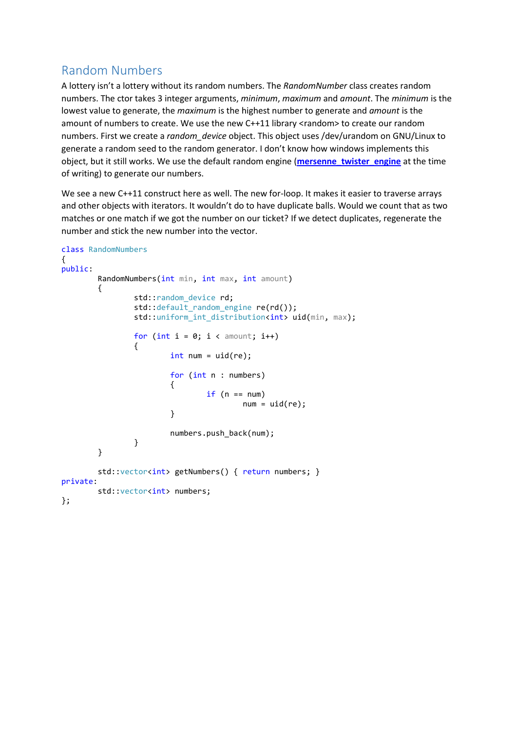## Random Numbers

A lottery isn't a lottery without its random numbers. The *RandomNumber* class creates random numbers. The ctor takes 3 integer arguments, *minimum*, *maximum* and *amount*. The *minimum* is the lowest value to generate, the *maximum* is the highest number to generate and *amount* is the amount of numbers to create. We use the new C++11 library <random> to create our random numbers. First we create a *random\_device* object. This object uses /dev/urandom on GNU/Linux to generate a random seed to the random generator. I don't know how windows implements this object, but it still works. We use the default random engine (**[mersenne\\_twister\\_engine](http://www.cplusplus.com/reference/random/mersenne_twister_engine/)** at the time of writing) to generate our numbers.

We see a new C++11 construct here as well. The new for-loop. It makes it easier to traverse arrays and other objects with iterators. It wouldn't do to have duplicate balls. Would we count that as two matches or one match if we got the number on our ticket? If we detect duplicates, regenerate the number and stick the new number into the vector.

```
class RandomNumbers
{
public:
           RandomNumbers(int min, int max, int amount)
            {
                        std::random_device rd;
                        std::default_random_engine re(rd());
                       std::uniform int distribution<int> uid(min, max);
                       for (int i = 0; i < amount; i++)\overline{a} ( \overline{a} ) and \overline{a} ( \overline{a} ) and \overline{a} ( \overline{a} ) and \overline{a} ( \overline{a} ) and \overline{a} ( \overline{a} ) and \overline{a} ( \overline{a} ) and \overline{a} ( \overline{a} ) and \overline{a} ( \overline{a} ) and \overline{a} ( \int num = uid(re); for (int n : numbers)
\{if (n == num)num = uid(re); }
                                   numbers.push back(num);
 }
            }
           std::vector<int> getNumbers() { return numbers; }
private:
           std::vector<int> numbers;
};
```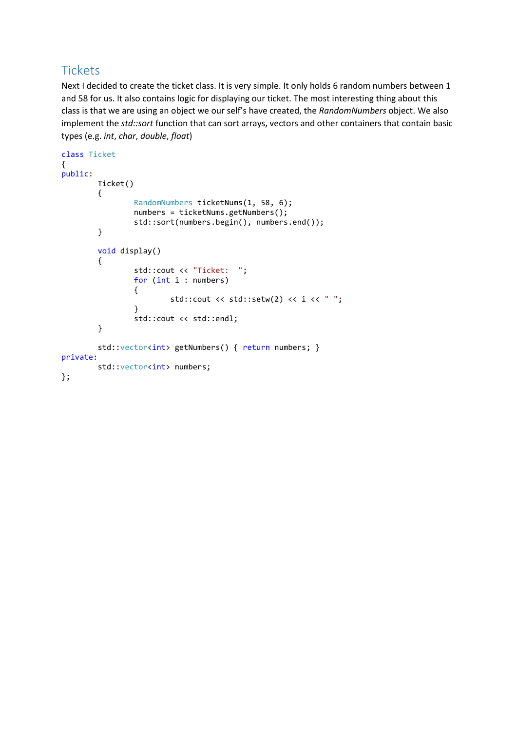## **Tickets**

Next I decided to create the ticket class. It is very simple. It only holds 6 random numbers between 1 and 58 for us. It also contains logic for displaying our ticket. The most interesting thing about this class is that we are using an object we our self's have created, the *RandomNumbers* object. We also implement the *std::sort* function that can sort arrays, vectors and other containers that contain basic types (e.g. *int*, *char*, *double*, *float*)

```
class Ticket
{
public:
        Ticket()
        {
                RandomNumbers ticketNums(1, 58, 6);
                numbers = ticketNums.getNumbers();
                std::sort(numbers.begin(), numbers.end());
        }
        void display()
        {
                std::cout << "Ticket: ";
                for (int i : numbers)
\{std::cout << std::setw(2) << i << " ";
 }
                std::cout << std::endl;
        }
       std::vector<int> getNumbers() { return numbers; }
private:
       std::vector<int> numbers;
};
```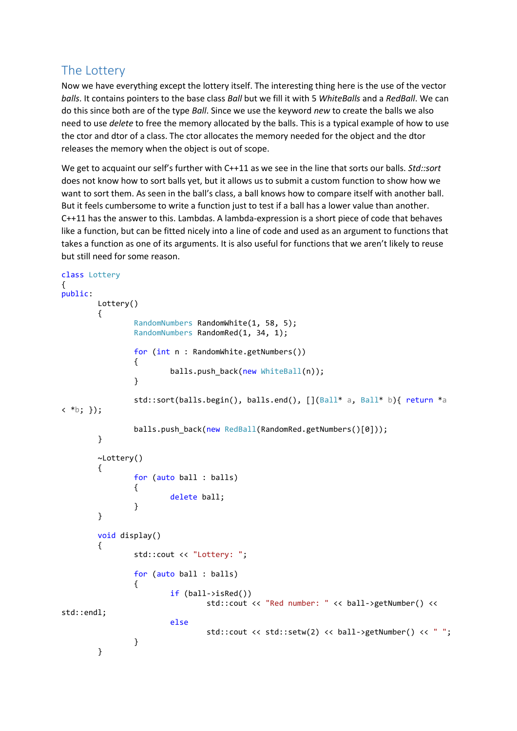#### The Lottery

Now we have everything except the lottery itself. The interesting thing here is the use of the vector *balls*. It contains pointers to the base class *Ball* but we fill it with 5 *WhiteBalls* and a *RedBall*. We can do this since both are of the type *Ball*. Since we use the keyword *new* to create the balls we also need to use *delete* to free the memory allocated by the balls. This is a typical example of how to use the ctor and dtor of a class. The ctor allocates the memory needed for the object and the dtor releases the memory when the object is out of scope.

We get to acquaint our self's further with C++11 as we see in the line that sorts our balls. *Std::sort* does not know how to sort balls yet, but it allows us to submit a custom function to show how we want to sort them. As seen in the ball's class, a ball knows how to compare itself with another ball. But it feels cumbersome to write a function just to test if a ball has a lower value than another. C++11 has the answer to this. Lambdas. A lambda-expression is a short piece of code that behaves like a function, but can be fitted nicely into a line of code and used as an argument to functions that takes a function as one of its arguments. It is also useful for functions that we aren't likely to reuse but still need for some reason.

```
class Lottery
{
public:
        Lottery()
        {
                RandomNumbers RandomWhite(1, 58, 5);
               RandomNumbers RandomRed(1, 34, 1);
               for (int n : RandomWhite.getNumbers())
\{ balls.push_back(new WhiteBall(n));
 }
               std::sort(balls.begin(), balls.end(), [](Ball* a, Ball* b){ return *a
< *b; });
               balls.push_back(new RedBall(RandomRed.getNumbers()[0]));
        }
        ~Lottery()
        {
               for (auto ball : balls)
\{ delete ball;
 }
        }
        void display()
        {
                std::cout << "Lottery: ";
               for (auto ball : balls)
\{ if (ball->isRed())
                              std::cout << "Red number: " << ball->getNumber() << 
std::endl;
                       else
                             std::cout << std::setw(2) << ball->getNumber() << " ";
 }
        }
```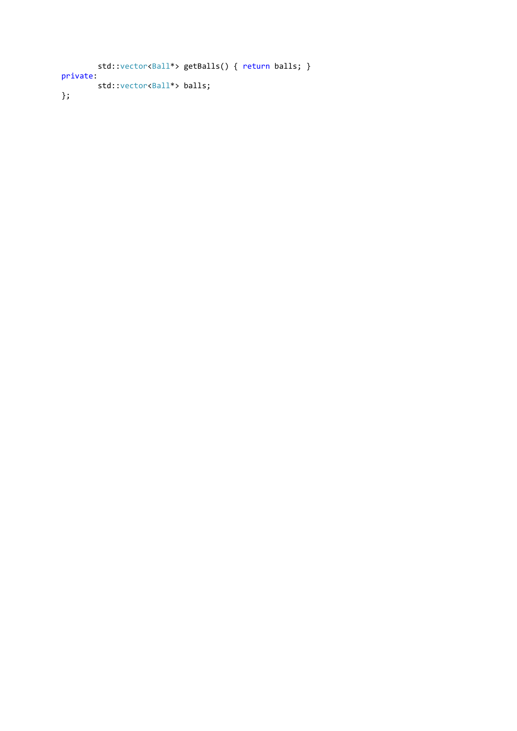```
std::vector<Ball*> getBalls() { return balls; }
private:
        std::vector<Ball*> balls;
};
```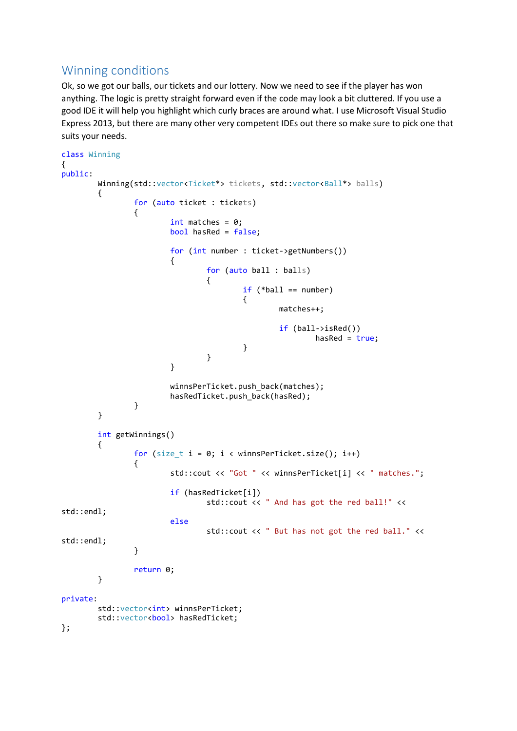## Winning conditions

Ok, so we got our balls, our tickets and our lottery. Now we need to see if the player has won anything. The logic is pretty straight forward even if the code may look a bit cluttered. If you use a good IDE it will help you highlight which curly braces are around what. I use Microsoft Visual Studio Express 2013, but there are many other very competent IDEs out there so make sure to pick one that suits your needs.

```
class Winning
{
public:
       Winning(std::vector<Ticket*> tickets, std::vector<Ball*> balls)
       {
             for (auto ticket : tickets)
\{int matches = 0;
                   bool hasRed = false;
                   for (int number : ticket->getNumbers())
\{ for (auto ball : balls)
\{if (*ball == number)
\{ matches++;
                                      if (ball->isRed())
                                            hasRed = true; }
 }
 }
                   winnsPerTicket.push_back(matches);
            hasRedTicket.push_back(hasRed);<br>}
 }
       }
       int getWinnings()
       {
            for (size t i = 0; i < winnsPerTicket.size(); i++)
\{ std::cout << "Got " << winnsPerTicket[i] << " matches.";
                   if (hasRedTicket[i])
                         std::cout << " And has got the red ball!" <<
std::endl;
                   else
                          std::cout << " But has not got the red ball." << 
std::endl;
 }
             return 0;
       }
private:
       std::vector<int> winnsPerTicket;
      std::vector<bool> hasRedTicket;
};
```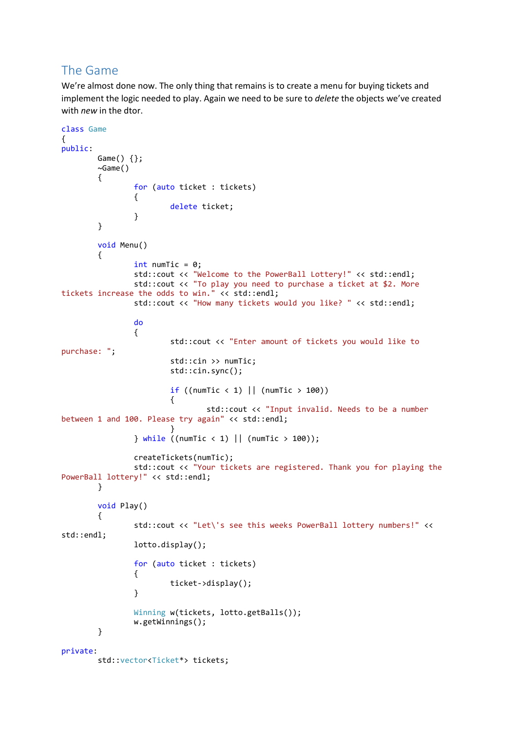## The Game

We're almost done now. The only thing that remains is to create a menu for buying tickets and implement the logic needed to play. Again we need to be sure to *delete* the objects we've created with *new* in the dtor.

```
class Game
{
public:
         Game() {};
        ~\simGame()
         {
                 for (auto ticket : tickets)
\{ delete ticket;
 }
         }
         void Menu()
         {
                int numTic = 0; std::cout << "Welcome to the PowerBall Lottery!" << std::endl;
                 std::cout << "To play you need to purchase a ticket at $2. More 
tickets increase the odds to win." << std::endl;
                 std::cout << "How many tickets would you like? " << std::endl;
do de la contradición de la contradición de la contradición de la contradición de la contradición de la contra
\{ std::cout << "Enter amount of tickets you would like to 
purchase: ";
                          std::cin >> numTic;
                          std::cin.sync();
                         if ((numTic \langle 1 \rangle || (numTic > 100))
\{ std::cout << "Input invalid. Needs to be a number 
between 1 and 100. Please try again" << std::endl;
 }
                 } while ((numTic < 1) || (numTic > 100));
                 createTickets(numTic);
                  std::cout << "Your tickets are registered. Thank you for playing the 
PowerBall lottery!" << std::endl;
         }
         void Play()
\overline{\mathcal{L}}std::cout << "Let\'s see this weeks PowerBall lottery numbers!" <<
std::endl;
                 lotto.display();
                 for (auto ticket : tickets)
\{ticket->display();<br>}
 }
                Winning w(tickets, lotto.getBalls());
                 w.getWinnings();
         }
private:
         std::vector<Ticket*> tickets;
```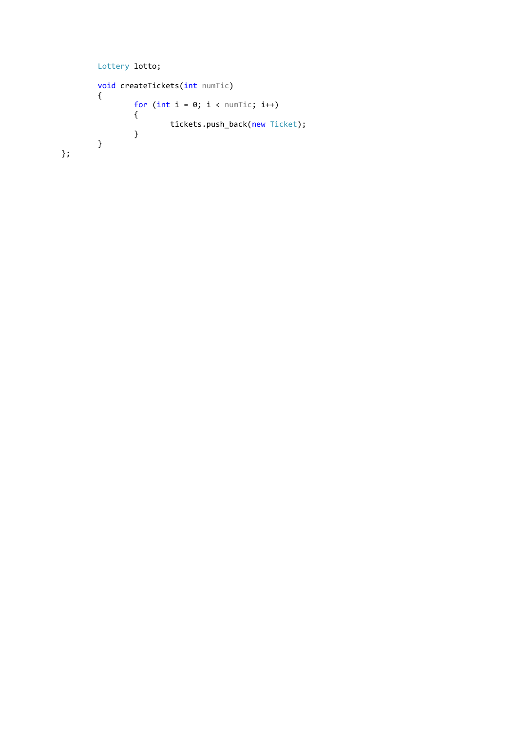```
 Lottery lotto;
                    void createTickets(int numTic)
                      {
                                         for (int i = 0; i \lt numTic; i++)\overline{a} ( \overline{a} ) and \overline{a} ( \overline{a} ) and \overline{a} ( \overline{a} ) and \overline{a} ( \overline{a} ) and \overline{a} ( \overline{a} ) and \overline{a} ( \overline{a} ) and \overline{a} ( \overline{a} ) and \overline{a} ( \overline{a} ) and \overline{a} ( \tickets.push_back(new Ticket);<br>}
  }
                     }
};
```